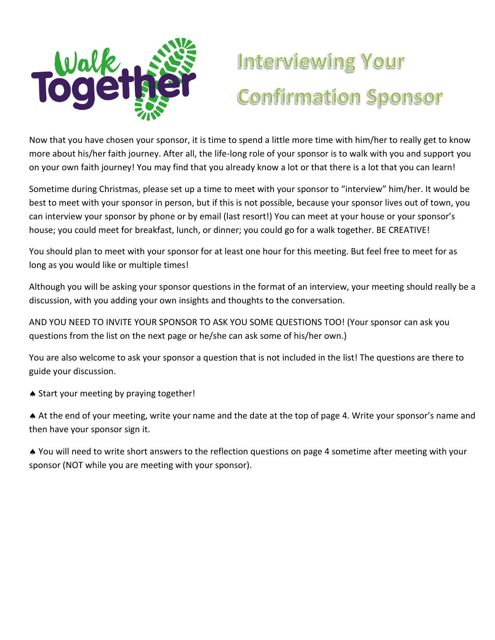

## **Interviewing Your Confirmation Sponsor**

Now that you have chosen your sponsor, it is time to spend a little more time with him/her to really get to know more about his/her faith journey. After all, the life-long role of your sponsor is to walk with you and support you on your own faith journey! You may find that you already know a lot or that there is a lot that you can learn!

Sometime during Christmas, please set up a time to meet with your sponsor to "interview" him/her. It would be best to meet with your sponsor in person, but if this is not possible, because your sponsor lives out of town, you can interview your sponsor by phone or by email (last resort!) You can meet at your house or your sponsor's house; you could meet for breakfast, lunch, or dinner; you could go for a walk together. BE CREATIVE!

You should plan to meet with your sponsor for at least one hour for this meeting. But feel free to meet for as long as you would like or multiple times!

Although you will be asking your sponsor questions in the format of an interview, your meeting should really be a discussion, with you adding your own insights and thoughts to the conversation.

AND YOU NEED TO INVITE YOUR SPONSOR TO ASK YOU SOME QUESTIONS TOO! (Your sponsor can ask you questions from the list on the next page or he/she can ask some of his/her own.)

You are also welcome to ask your sponsor a question that is not included in the list! The questions are there to guide your discussion.

Start your meeting by praying together!

 At the end of your meeting, write your name and the date at the top of page 4. Write your sponsor's name and then have your sponsor sign it.

 You will need to write short answers to the reflection questions on page 4 sometime after meeting with your sponsor (NOT while you are meeting with your sponsor).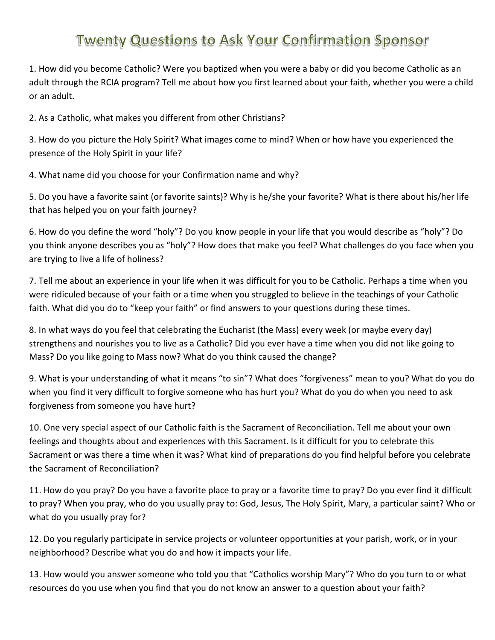## **Twenty Questions to Ask Your Confirmation Sponsor**

1. How did you become Catholic? Were you baptized when you were a baby or did you become Catholic as an adult through the RCIA program? Tell me about how you first learned about your faith, whether you were a child or an adult.

2. As a Catholic, what makes you different from other Christians?

3. How do you picture the Holy Spirit? What images come to mind? When or how have you experienced the presence of the Holy Spirit in your life?

4. What name did you choose for your Confirmation name and why?

5. Do you have a favorite saint (or favorite saints)? Why is he/she your favorite? What is there about his/her life that has helped you on your faith journey?

6. How do you define the word "holy"? Do you know people in your life that you would describe as "holy"? Do you think anyone describes you as "holy"? How does that make you feel? What challenges do you face when you are trying to live a life of holiness?

7. Tell me about an experience in your life when it was difficult for you to be Catholic. Perhaps a time when you were ridiculed because of your faith or a time when you struggled to believe in the teachings of your Catholic faith. What did you do to "keep your faith" or find answers to your questions during these times.

8. In what ways do you feel that celebrating the Eucharist (the Mass) every week (or maybe every day) strengthens and nourishes you to live as a Catholic? Did you ever have a time when you did not like going to Mass? Do you like going to Mass now? What do you think caused the change?

9. What is your understanding of what it means "to sin"? What does "forgiveness" mean to you? What do you do when you find it very difficult to forgive someone who has hurt you? What do you do when you need to ask forgiveness from someone you have hurt?

10. One very special aspect of our Catholic faith is the Sacrament of Reconciliation. Tell me about your own feelings and thoughts about and experiences with this Sacrament. Is it difficult for you to celebrate this Sacrament or was there a time when it was? What kind of preparations do you find helpful before you celebrate the Sacrament of Reconciliation?

11. How do you pray? Do you have a favorite place to pray or a favorite time to pray? Do you ever find it difficult to pray? When you pray, who do you usually pray to: God, Jesus, The Holy Spirit, Mary, a particular saint? Who or what do you usually pray for?

12. Do you regularly participate in service projects or volunteer opportunities at your parish, work, or in your neighborhood? Describe what you do and how it impacts your life.

13. How would you answer someone who told you that "Catholics worship Mary"? Who do you turn to or what resources do you use when you find that you do not know an answer to a question about your faith?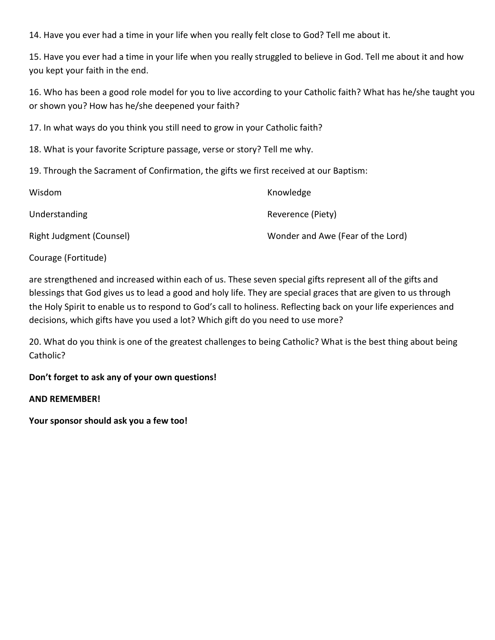14. Have you ever had a time in your life when you really felt close to God? Tell me about it.

15. Have you ever had a time in your life when you really struggled to believe in God. Tell me about it and how you kept your faith in the end.

16. Who has been a good role model for you to live according to your Catholic faith? What has he/she taught you or shown you? How has he/she deepened your faith?

17. In what ways do you think you still need to grow in your Catholic faith?

18. What is your favorite Scripture passage, verse or story? Tell me why.

19. Through the Sacrament of Confirmation, the gifts we first received at our Baptism:

| Wisdom                   | Knowledge                         |
|--------------------------|-----------------------------------|
| Understanding            | Reverence (Piety)                 |
| Right Judgment (Counsel) | Wonder and Awe (Fear of the Lord) |

Courage (Fortitude)

are strengthened and increased within each of us. These seven special gifts represent all of the gifts and blessings that God gives us to lead a good and holy life. They are special graces that are given to us through the Holy Spirit to enable us to respond to God's call to holiness. Reflecting back on your life experiences and decisions, which gifts have you used a lot? Which gift do you need to use more?

20. What do you think is one of the greatest challenges to being Catholic? What is the best thing about being Catholic?

**Don't forget to ask any of your own questions!** 

**AND REMEMBER!** 

**Your sponsor should ask you a few too!**